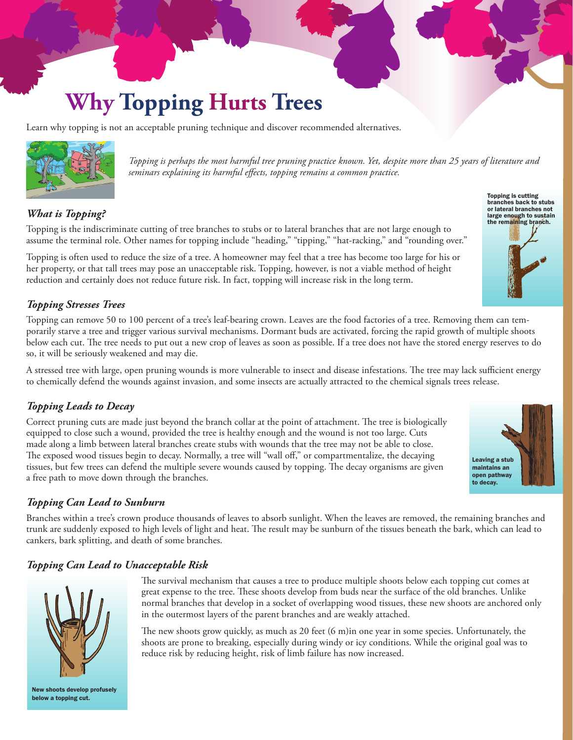# **Why Topping Hurts Trees**

Learn why topping is not an acceptable pruning technique and discover recommended alternatives.



*Topping is perhaps the most harmful tree pruning practice known. Yet, despite more than 25 years of literature and seminars explaining its harmful effects, topping remains a common practice.*

### *What is Topping?*

Topping is the indiscriminate cutting of tree branches to stubs or to lateral branches that are not large enough to assume the terminal role. Other names for topping include "heading," "tipping," "hat-racking," and "rounding over."

Topping is often used to reduce the size of a tree. A homeowner may feel that a tree has become too large for his or her property, or that tall trees may pose an unacceptable risk. Topping, however, is not a viable method of height reduction and certainly does not reduce future risk. In fact, topping will increase risk in the long term.

#### *Topping Stresses Trees*

Topping can remove 50 to 100 percent of a tree's leaf-bearing crown. Leaves are the food factories of a tree. Removing them can temporarily starve a tree and trigger various survival mechanisms. Dormant buds are activated, forcing the rapid growth of multiple shoots below each cut. The tree needs to put out a new crop of leaves as soon as possible. If a tree does not have the stored energy reserves to do so, it will be seriously weakened and may die.

A stressed tree with large, open pruning wounds is more vulnerable to insect and disease infestations. The tree may lack sufficient energy to chemically defend the wounds against invasion, and some insects are actually attracted to the chemical signals trees release.

#### *Topping Leads to Decay*

Correct pruning cuts are made just beyond the branch collar at the point of attachment. The tree is biologically equipped to close such a wound, provided the tree is healthy enough and the wound is not too large. Cuts made along a limb between lateral branches create stubs with wounds that the tree may not be able to close. The exposed wood tissues begin to decay. Normally, a tree will "wall off," or compartmentalize, the decaying tissues, but few trees can defend the multiple severe wounds caused by topping. The decay organisms are given a free path to move down through the branches.

#### *Topping Can Lead to Sunburn*

Branches within a tree's crown produce thousands of leaves to absorb sunlight. When the leaves are removed, the remaining branches and trunk are suddenly exposed to high levels of light and heat. The result may be sunburn of the tissues beneath the bark, which can lead to cankers, bark splitting, and death of some branches.

#### *Topping Can Lead to Unacceptable Risk*



New shoots develop profusely below a topping cut.

The survival mechanism that causes a tree to produce multiple shoots below each topping cut comes at great expense to the tree. These shoots develop from buds near the surface of the old branches. Unlike normal branches that develop in a socket of overlapping wood tissues, these new shoots are anchored only in the outermost layers of the parent branches and are weakly attached.

The new shoots grow quickly, as much as 20 feet (6 m)in one year in some species. Unfortunately, the shoots are prone to breaking, especially during windy or icy conditions. While the original goal was to reduce risk by reducing height, risk of limb failure has now increased.